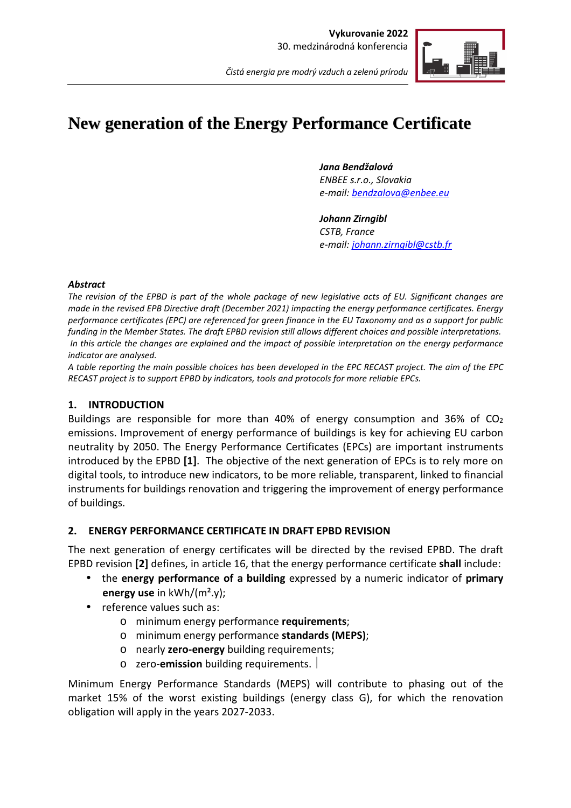

# **New generation of the Energy Performance Certificate**

*Jana Bendžalová* 

*ENBEE s.r.o., Slovakia e-mail: bendzalova@enbee.eu*

*Johann Zirngibl CSTB, France e-mail: johann.zirngibl@cstb.fr*

#### *Abstract*

*The revision of the EPBD is part of the whole package of new legislative acts of EU. Significant changes are made in the revised EPB Directive draft (December 2021) impacting the energy performance certificates. Energy performance certificates (EPC) are referenced for green finance in the EU Taxonomy and as a support for public funding in the Member States. The draft EPBD revision still allows different choices and possible interpretations. In this article the changes are explained and the impact of possible interpretation on the energy performance indicator are analysed.* 

*A table reporting the main possible choices has been developed in the EPC RECAST project. The aim of the EPC RECAST project is to support EPBD by indicators, tools and protocols for more reliable EPCs.* 

## **1. INTRODUCTION**

Buildings are responsible for more than 40% of energy consumption and 36% of  $CO<sub>2</sub>$ emissions. Improvement of energy performance of buildings is key for achieving EU carbon neutrality by 2050. The Energy Performance Certificates (EPCs) are important instruments introduced by the EPBD **[1]**. The objective of the next generation of EPCs is to rely more on digital tools, to introduce new indicators, to be more reliable, transparent, linked to financial instruments for buildings renovation and triggering the improvement of energy performance of buildings.

## **2. ENERGY PERFORMANCE CERTIFICATE IN DRAFT EPBD REVISION**

The next generation of energy certificates will be directed by the revised EPBD. The draft EPBD revision **[2]** defines, in article 16, that the energy performance certificate **shall** include:

- the **energy performance of a building** expressed by a numeric indicator of **primary energy use** in kWh/(m².y);
- reference values such as:
	- o minimum energy performance **requirements**;
	- o minimum energy performance **standards (MEPS)**;
	- o nearly **zero-energy** building requirements;
	- o zero-**emission** building requirements.

Minimum Energy Performance Standards (MEPS) will contribute to phasing out of the market 15% of the worst existing buildings (energy class G), for which the renovation obligation will apply in the years 2027-2033.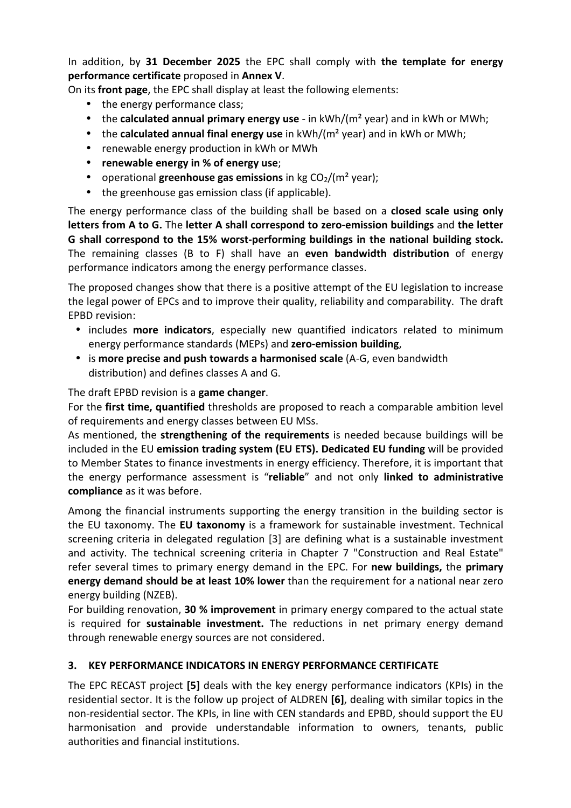In addition, by **31 December 2025** the EPC shall comply with **the template for energy performance certificate** proposed in **Annex V**.

On its **front page**, the EPC shall display at least the following elements:

- the energy performance class;
- the **calculated annual primary energy use** in kWh/(m² year) and in kWh or MWh;
- the **calculated annual final energy use** in kWh/(m² year) and in kWh or MWh;
- renewable energy production in kWh or MWh
- **renewable energy in % of energy use**;
- operational **greenhouse gas emissions** in kg CO<sub>2</sub>/(m<sup>2</sup> year);
- the greenhouse gas emission class (if applicable).

The energy performance class of the building shall be based on a **closed scale using only letters from A to G.** The **letter A shall correspond to zero-emission buildings** and **the letter G shall correspond to the 15% worst-performing buildings in the national building stock.** The remaining classes (B to F) shall have an **even bandwidth distribution** of energy performance indicators among the energy performance classes.

The proposed changes show that there is a positive attempt of the EU legislation to increase the legal power of EPCs and to improve their quality, reliability and comparability. The draft EPBD revision:

- includes **more indicators**, especially new quantified indicators related to minimum energy performance standards (MEPs) and **zero-emission building**,
- is **more precise and push towards a harmonised scale** (A-G, even bandwidth distribution) and defines classes A and G.

## The draft EPBD revision is a **game changer**.

For the **first time, quantified** thresholds are proposed to reach a comparable ambition level of requirements and energy classes between EU MSs.

As mentioned, the **strengthening of the requirements** is needed because buildings will be included in the EU **emission trading system (EU ETS). Dedicated EU funding** will be provided to Member States to finance investments in energy efficiency. Therefore, it is important that the energy performance assessment is "**reliable**" and not only **linked to administrative compliance** as it was before.

Among the financial instruments supporting the energy transition in the building sector is the EU taxonomy. The **EU taxonomy** is a framework for sustainable investment. Technical screening criteria in delegated regulation [3] are defining what is a sustainable investment and activity. The technical screening criteria in Chapter 7 "Construction and Real Estate" refer several times to primary energy demand in the EPC. For **new buildings,** the **primary energy demand should be at least 10% lower** than the requirement for a national near zero energy building (NZEB).

For building renovation, **30 % improvement** in primary energy compared to the actual state is required for **sustainable investment.** The reductions in net primary energy demand through renewable energy sources are not considered.

## **3. KEY PERFORMANCE INDICATORS IN ENERGY PERFORMANCE CERTIFICATE**

The EPC RECAST project **[5]** deals with the key energy performance indicators (KPIs) in the residential sector. It is the follow up project of ALDREN **[6]**, dealing with similar topics in the non-residential sector. The KPIs, in line with CEN standards and EPBD, should support the EU harmonisation and provide understandable information to owners, tenants, public authorities and financial institutions.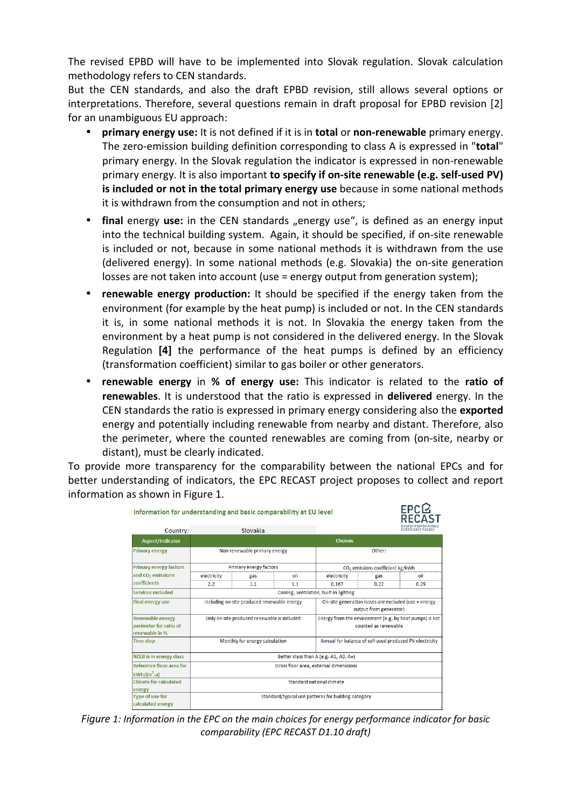The revised EPBD will have to be implemented into Slovak regulation. Slovak calculation methodology refers to CEN standards.

But the CEN standards, and also the draft EPBD revision, still allows several options or interpretations. Therefore, several questions remain in draft proposal for EPBD revision [2] for an unambiguous EU approach:

- **primary energy use:** It is not defined if it is in **total** or **non-renewable** primary energy. The zero-emission building definition corresponding to class A is expressed in "**total**" primary energy. In the Slovak regulation the indicator is expressed in non-renewable primary energy. It is also important **to specify if on-site renewable (e.g. self-used PV) is included or not in the total primary energy use** because in some national methods it is withdrawn from the consumption and not in others;
- **final** energy use: in the CEN standards "energy use", is defined as an energy input into the technical building system. Again, it should be specified, if on-site renewable is included or not, because in some national methods it is withdrawn from the use (delivered energy). In some national methods (e.g. Slovakia) the on-site generation losses are not taken into account (use = energy output from generation system);
- **renewable energy production:** It should be specified if the energy taken from the environment (for example by the heat pump) is included or not. In the CEN standards it is, in some national methods it is not. In Slovakia the energy taken from the environment by a heat pump is not considered in the delivered energy. In the Slovak Regulation **[4]** the performance of the heat pumps is defined by an efficiency (transformation coefficient) similar to gas boiler or other generators.
- **renewable energy** in **% of energy use:** This indicator is related to the **ratio of renewables**. It is understood that the ratio is expressed in **delivered** energy. In the CEN standards the ratio is expressed in primary energy considering also the **exported**  energy and potentially including renewable from nearby and distant. Therefore, also the perimeter, where the counted renewables are coming from (on-site, nearby or distant), must be clearly indicated.

To provide more transparency for the comparability between the national EPCs and for better understanding of indicators, the EPC RECAST project proposes to collect and report information as shown in Figure 1.

| Information for understanding and basic comparability at EU level   |                                                     |          |     |                                                                                 |      | EPCL |
|---------------------------------------------------------------------|-----------------------------------------------------|----------|-----|---------------------------------------------------------------------------------|------|------|
| Country:                                                            |                                                     | Slovakia |     |                                                                                 |      |      |
| Aspect/Indicator                                                    | <b>Choices</b>                                      |          |     |                                                                                 |      |      |
| <b>Primary energy</b>                                               | Non-renewable primary energy                        |          |     | Other:                                                                          |      |      |
| <b>Primary energy factors</b>                                       | Primary energy factors                              |          |     | CO <sub>2</sub> emissions coefficient kg/kWh                                    |      |      |
| and CO <sub>2</sub> emissions                                       | electricity                                         | gas      | oil | electricity                                                                     | gas  | oil  |
| coefficients                                                        | 2.2                                                 | 1.1      | 1.1 | 0.167                                                                           | 0.22 | 0.29 |
| Services excluded                                                   | Cooling, ventilation, built-in lighting             |          |     |                                                                                 |      |      |
| <b>Final energy use</b>                                             | Including on-site produced renewable energy         |          |     | On-site generation losses are excluded (use = energy<br>output from generator)  |      |      |
| <b>Renewable energy</b><br>perimeter for ratio of<br>renewable in % | Only on-site produced renewable is included         |          |     | Energy from the environment (e.g. by heat pumps) is not<br>counted as renewable |      |      |
| <b>Time step</b>                                                    | Monthly for energy calculation                      |          |     | Annual for balance of self-used produced PV electricity                         |      |      |
| <b>NZEB</b> is in energy class                                      | Better class than A (e.g. A1, A0, A+)               |          |     |                                                                                 |      |      |
| Reference floor area for<br>$kWh/(m^2.a)$                           | Gross floor area, external dimenssions              |          |     |                                                                                 |      |      |
| <b>Climate for calculated</b><br>energy                             | Standard national climate                           |          |     |                                                                                 |      |      |
| <b>Type of use for</b><br>calculated energy                         | Standard/typical use patterns for building category |          |     |                                                                                 |      |      |

*Figure 1: Information in the EPC on the main choices for energy performance indicator for basic comparability (EPC RECAST D1.10 draft)*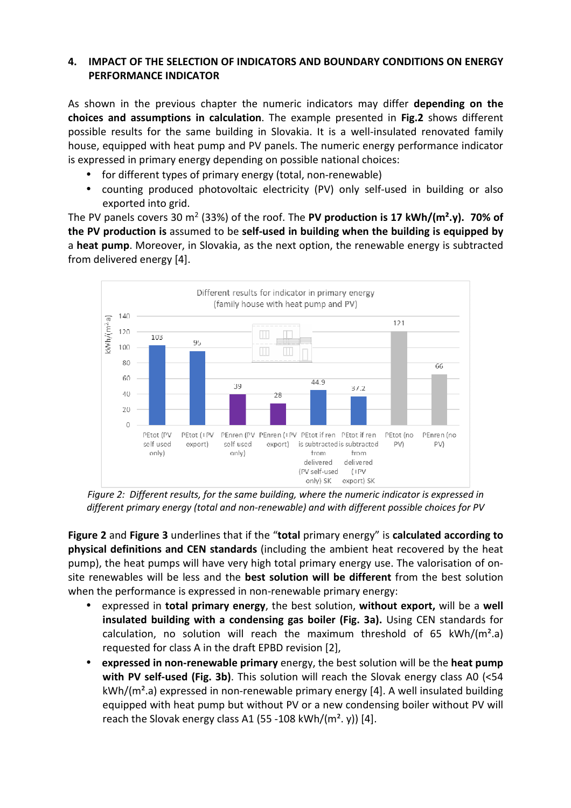## **4. IMPACT OF THE SELECTION OF INDICATORS AND BOUNDARY CONDITIONS ON ENERGY PERFORMANCE INDICATOR**

As shown in the previous chapter the numeric indicators may differ **depending on the choices and assumptions in calculation**. The example presented in **Fig.2** shows different possible results for the same building in Slovakia. It is a well-insulated renovated family house, equipped with heat pump and PV panels. The numeric energy performance indicator is expressed in primary energy depending on possible national choices:

- for different types of primary energy (total, non-renewable)
- counting produced photovoltaic electricity (PV) only self-used in building or also exported into grid.

The PV panels covers 30 m<sup>2</sup> (33%) of the roof. The PV production is 17 kWh/(m<sup>2</sup>.y). 70% of **the PV production is** assumed to be **self-used in building when the building is equipped by**  a **heat pump**. Moreover, in Slovakia, as the next option, the renewable energy is subtracted from delivered energy [4].



*Figure 2: Different results, for the same building, where the numeric indicator is expressed in different primary energy (total and non-renewable) and with different possible choices for PV* 

**Figure 2** and **Figure 3** underlines that if the "**total** primary energy" is **calculated according to physical definitions and CEN standards** (including the ambient heat recovered by the heat pump), the heat pumps will have very high total primary energy use. The valorisation of onsite renewables will be less and the **best solution will be different** from the best solution when the performance is expressed in non-renewable primary energy:

- expressed in **total primary energy**, the best solution, **without export,** will be a **well insulated building with a condensing gas boiler (Fig. 3a).** Using CEN standards for calculation, no solution will reach the maximum threshold of 65 kWh/( $m^2.a$ ) requested for class A in the draft EPBD revision [2],
- **expressed in non-renewable primary** energy, the best solution will be the **heat pump with PV self-used (Fig. 3b)**. This solution will reach the Slovak energy class A0 (<54 kWh/(m².a) expressed in non-renewable primary energy [4]. A well insulated building equipped with heat pump but without PV or a new condensing boiler without PV will reach the Slovak energy class A1 (55 -108 kWh/( $m^2$ , y)) [4].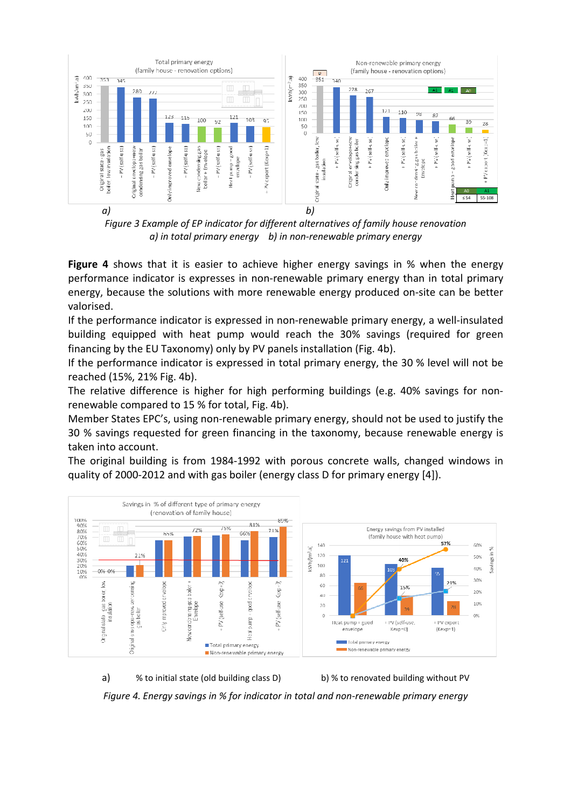

*Figure 3 Example of EP indicator for different alternatives of family house renovation a) in total primary energy b) in non-renewable primary energy* 

**Figure 4** shows that it is easier to achieve higher energy savings in % when the energy performance indicator is expresses in non-renewable primary energy than in total primary energy, because the solutions with more renewable energy produced on-site can be better valorised.

If the performance indicator is expressed in non-renewable primary energy, a well-insulated building equipped with heat pump would reach the 30% savings (required for green financing by the EU Taxonomy) only by PV panels installation (Fig. 4b).

If the performance indicator is expressed in total primary energy, the 30 % level will not be reached (15%, 21% Fig. 4b).

The relative difference is higher for high performing buildings (e.g. 40% savings for nonrenewable compared to 15 % for total, Fig. 4b).

Member States EPC's, using non-renewable primary energy, should not be used to justify the 30 % savings requested for green financing in the taxonomy, because renewable energy is taken into account.

The original building is from 1984-1992 with porous concrete walls, changed windows in quality of 2000-2012 and with gas boiler (energy class D for primary energy [4]).



a) % to initial state (old building class D) b) % to renovated building without PV *Figure 4. Energy savings in % for indicator in total and non-renewable primary energy*